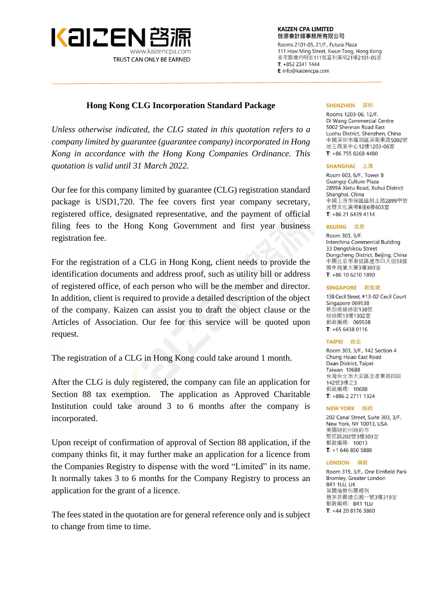

**KAIZEN CPA LIMITED** 啓源會計師事務所有限公司

Rooms 2101-05, 21/F., Futura Plaza 111 How Ming Street, Kwun Tong, Hong Kong 香港觀塘巧明街111號富利廣場21樓2101-05室  $T: +85223411444$ E: info@kaizencpa.com

#### **Hong Kong CLG Incorporation Standard Package**

*Unless otherwise indicated, the CLG stated in this quotation refers to a company limited by guarantee (guarantee company) incorporated in Hong Kong in accordance with the Hong Kong Companies Ordinance. This quotation is valid until 31 March 2022.*

Our fee for this company limited by guarantee (CLG) registration standard package is USD1,720. The fee covers first year company secretary, registered office, designated representative, and the payment of official filing fees to the Hong Kong Government and first year business registration fee.

For the registration of a CLG in Hong Kong, client needs to provide the identification documents and address proof, such as utility bill or address of registered office, of each person who will be the member and director. In addition, client is required to provide a detailed description of the object of the company. Kaizen can assist you to draft the object clause or the Articles of Association. Our fee for this service will be quoted upon request.

The registration of a CLG in Hong Kong could take around 1 month.

After the CLG is duly registered, the company can file an application for Section 88 tax exemption. The application as Approved Charitable Institution could take around 3 to 6 months after the company is incorporated.

Upon receipt of confirmation of approval of Section 88 application, if the company thinks fit, it may further make an application for a licence from the Companies Registry to dispense with the word "Limited" in its name. It normally takes 3 to 6 months for the Company Registry to process an application for the grant of a licence.

The fees stated in the quotation are for general reference only and is subject to change from time to time.

#### SHENZHEN 深圳

Rooms 1203-06, 12/F. Di Wang Commercial Centre 5002 Shennan Road East Luohu District Shenzhen China 中國深圳市羅湖區深南東路5002號 地王商業中心12樓1203-06室 T:  $+86$  755 8268 4480

#### **SHANGHAI** 上海

Room 603, 6/F., Tower B Guangqi Culture Plaza 2899A Xietu Road, Xuhui District Shanghai, China 中國上海市徐匯區斜土路2899甲號 光啓文化廣場B座6樓603室  $T: +862164394114$ 

#### BEIJING 北京

Room 303, 3/F. **Interchina Commercial Building** 33 Dengshikou Street Dongcheng District, Beijing, China 中國北京市東城區燈市口大街33號 國中商業大厦3樓303室  $T: +86 10 6210 1890$ 

#### SINGAPORE 新加坡

138 Cecil Street, #13-02 Cecil Court Singapore 069538 新加坡絲絲街138號 絲絲閣13樓1302室 郵政編碼: 069538  $T: +6564380116$ 

#### TAIPEI 台北

Room 303, 3/F., 142 Section 4 Chung Hsiao East Road Daan District, Taipei **Taiwan 10688** 台灣台北市大安區忠孝東路四段 142號3樓之3 郵政編碼: 10688  $T: +886227111324$ 

#### **NEW YORK 紐約**

202 Canal Street, Suite 303, 3/F. New York, NY 10013, USA 美國紐約州紐約市 堅尼路202號3樓303室 郵政編碼: 10013  $T: +16468505888$ 

#### **LONDON 倫敦**

Room 319, 3/F., One Elmfield Park Bromley, Greater London BR1 1LU. UK 英國倫敦布羅姆利 雅茅菲爾德公園一號3樓319室 郵政編碼: BR1 1LU T: +44 20 8176 3860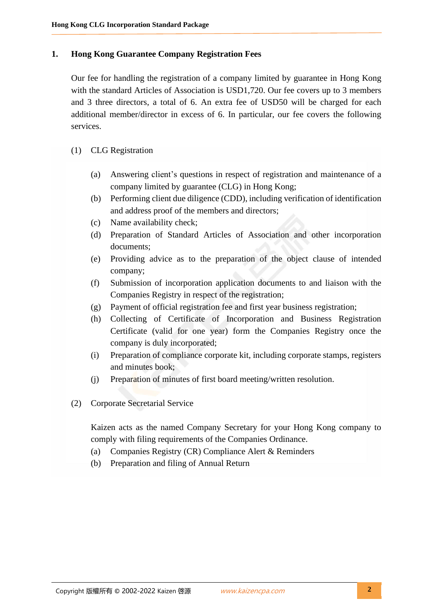## **1. Hong Kong Guarantee Company Registration Fees**

Our fee for handling the registration of a company limited by guarantee in Hong Kong with the standard Articles of Association is USD1,720. Our fee covers up to 3 members and 3 three directors, a total of 6. An extra fee of USD50 will be charged for each additional member/director in excess of 6. In particular, our fee covers the following services.

- (1) CLG Registration
	- (a) Answering client's questions in respect of registration and maintenance of a company limited by guarantee (CLG) in Hong Kong;
	- (b) Performing client due diligence (CDD), including verification of identification and address proof of the members and directors;
	- (c) Name availability check;
	- (d) Preparation of Standard Articles of Association and other incorporation documents;
	- (e) Providing advice as to the preparation of the object clause of intended company;
	- (f) Submission of incorporation application documents to and liaison with the Companies Registry in respect of the registration;
	- (g) Payment of official registration fee and first year business registration;
	- (h) Collecting of Certificate of Incorporation and Business Registration Certificate (valid for one year) form the Companies Registry once the company is duly incorporated;
	- (i) Preparation of compliance corporate kit, including corporate stamps, registers and minutes book;
	- (j) Preparation of minutes of first board meeting/written resolution.
- (2) Corporate Secretarial Service

Kaizen acts as the named Company Secretary for your Hong Kong company to comply with filing requirements of the Companies Ordinance.

- (a) Companies Registry (CR) Compliance Alert & Reminders
- (b) Preparation and filing of Annual Return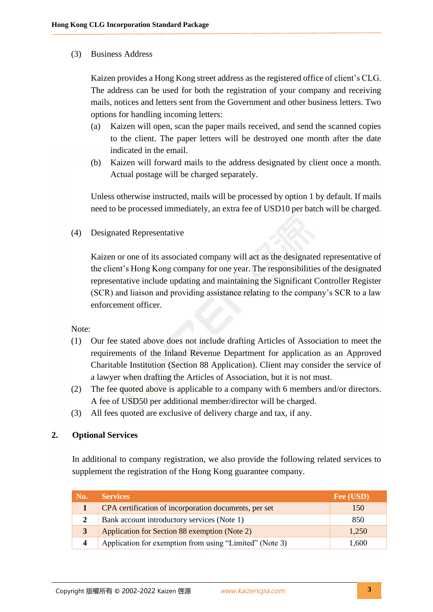## (3) Business Address

Kaizen provides a Hong Kong street address as the registered office of client's CLG. The address can be used for both the registration of your company and receiving mails, notices and letters sent from the Government and other business letters. Two options for handling incoming letters:

- (a) Kaizen will open, scan the paper mails received, and send the scanned copies to the client. The paper letters will be destroyed one month after the date indicated in the email.
- (b) Kaizen will forward mails to the address designated by client once a month. Actual postage will be charged separately.

Unless otherwise instructed, mails will be processed by option 1 by default. If mails need to be processed immediately, an extra fee of USD10 per batch will be charged.

(4) Designated Representative

Kaizen or one of its associated company will act as the designated representative of the client's Hong Kong company for one year. The responsibilities of the designated representative include updating and maintaining the Significant Controller Register (SCR) and liaison and providing assistance relating to the company's SCR to a law enforcement officer.

Note:

- (1) Our fee stated above does not include drafting Articles of Association to meet the requirements of the Inland Revenue Department for application as an Approved Charitable Institution (Section 88 Application). Client may consider the service of a lawyer when drafting the Articles of Association, but it is not must.
- (2) The fee quoted above is applicable to a company with 6 members and/or directors. A fee of USD50 per additional member/director will be charged.
- (3) All fees quoted are exclusive of delivery charge and tax, if any.

# **2. Optional Services**

In additional to company registration, we also provide the following related services to supplement the registration of the Hong Kong guarantee company.

| No. | <b>Services</b>                                         | Fee (USD) |
|-----|---------------------------------------------------------|-----------|
|     | CPA certification of incorporation documents, per set   | 150       |
|     | Bank account introductory services (Note 1)             | 850       |
|     | Application for Section 88 exemption (Note 2)           | 1,250     |
|     | Application for exemption from using "Limited" (Note 3) | 1,600     |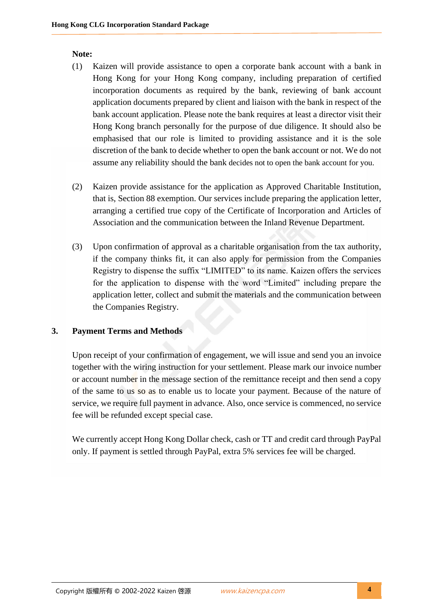## **Note:**

- (1) Kaizen will provide assistance to open a corporate bank account with a bank in Hong Kong for your Hong Kong company, including preparation of certified incorporation documents as required by the bank, reviewing of bank account application documents prepared by client and liaison with the bank in respect of the bank account application. Please note the bank requires at least a director visit their Hong Kong branch personally for the purpose of due diligence. It should also be emphasised that our role is limited to providing assistance and it is the sole discretion of the bank to decide whether to open the bank account or not. We do not assume any reliability should the bank decides not to open the bank account for you.
- (2) Kaizen provide assistance for the application as Approved Charitable Institution, that is, Section 88 exemption. Our services include preparing the application letter, arranging a certified true copy of the Certificate of Incorporation and Articles of Association and the communication between the Inland Revenue Department.
- (3) Upon confirmation of approval as a charitable organisation from the tax authority, if the company thinks fit, it can also apply for permission from the Companies Registry to dispense the suffix "LIMITED" to its name. Kaizen offers the services for the application to dispense with the word "Limited" including prepare the application letter, collect and submit the materials and the communication between the Companies Registry.

# **3. Payment Terms and Methods**

Upon receipt of your confirmation of engagement, we will issue and send you an invoice together with the wiring instruction for your settlement. Please mark our invoice number or account number in the message section of the remittance receipt and then send a copy of the same to us so as to enable us to locate your payment. Because of the nature of service, we require full payment in advance. Also, once service is commenced, no service fee will be refunded except special case.

We currently accept Hong Kong Dollar check, cash or TT and credit card through PayPal only. If payment is settled through PayPal, extra 5% services fee will be charged.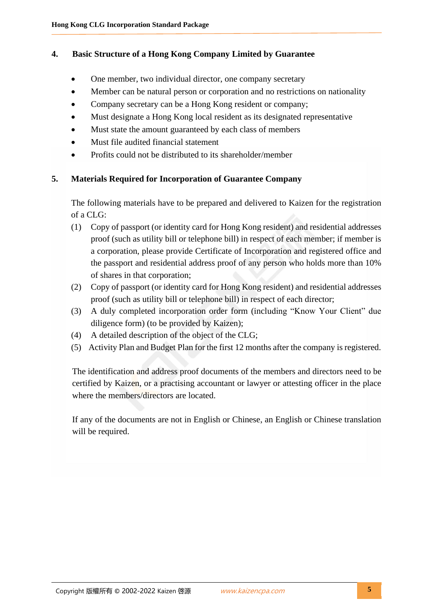# **4. Basic Structure of a Hong Kong Company Limited by Guarantee**

- One member, two individual director, one company secretary
- Member can be natural person or corporation and no restrictions on nationality
- Company secretary can be a Hong Kong resident or company;
- Must designate a Hong Kong local resident as its designated representative
- Must state the amount guaranteed by each class of members
- Must file audited financial statement
- Profits could not be distributed to its shareholder/member

## **5. Materials Required for Incorporation of Guarantee Company**

The following materials have to be prepared and delivered to Kaizen for the registration of a CLG:

- (1) Copy of passport (or identity card for Hong Kong resident) and residential addresses proof (such as utility bill or telephone bill) in respect of each member; if member is a corporation, please provide Certificate of Incorporation and registered office and the passport and residential address proof of any person who holds more than 10% of shares in that corporation;
- (2) Copy of passport (or identity card for Hong Kong resident) and residential addresses proof (such as utility bill or telephone bill) in respect of each director;
- (3) A duly completed incorporation order form (including "Know Your Client" due diligence form) (to be provided by Kaizen);
- (4) A detailed description of the object of the CLG;
- (5) Activity Plan and Budget Plan for the first 12 months after the company is registered.

The identification and address proof documents of the members and directors need to be certified by Kaizen, or a practising accountant or lawyer or attesting officer in the place where the members/directors are located.

If any of the documents are not in English or Chinese, an English or Chinese translation will be required.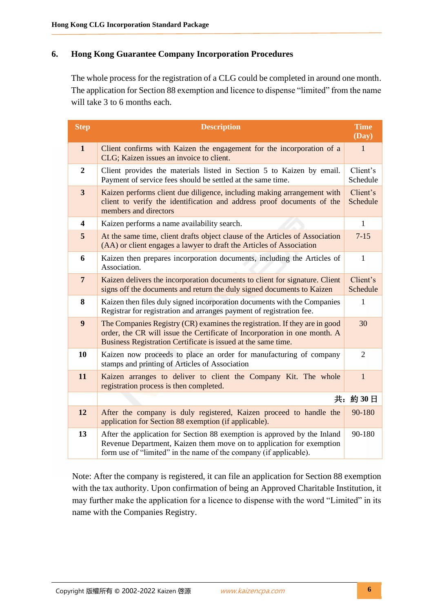## **6. Hong Kong Guarantee Company Incorporation Procedures**

The whole process for the registration of a CLG could be completed in around one month. The application for Section 88 exemption and licence to dispense "limited" from the name will take 3 to 6 months each.

| <b>Step</b>             | <b>Description</b>                                                                                                                                                                                                       | <b>Time</b><br>(Day) |
|-------------------------|--------------------------------------------------------------------------------------------------------------------------------------------------------------------------------------------------------------------------|----------------------|
| $\mathbf{1}$            | Client confirms with Kaizen the engagement for the incorporation of a<br>CLG; Kaizen issues an invoice to client.                                                                                                        | $\mathbf{1}$         |
| $\overline{2}$          | Client provides the materials listed in Section 5 to Kaizen by email.<br>Payment of service fees should be settled at the same time.                                                                                     | Client's<br>Schedule |
| $\overline{\mathbf{3}}$ | Kaizen performs client due diligence, including making arrangement with<br>client to verify the identification and address proof documents of the<br>members and directors                                               | Client's<br>Schedule |
| $\overline{\mathbf{4}}$ | Kaizen performs a name availability search.                                                                                                                                                                              | $\mathbf{1}$         |
| 5                       | At the same time, client drafts object clause of the Articles of Association<br>(AA) or client engages a lawyer to draft the Articles of Association                                                                     | $7 - 15$             |
| 6                       | Kaizen then prepares incorporation documents, including the Articles of<br>Association.                                                                                                                                  | $\mathbf{1}$         |
| $\overline{7}$          | Kaizen delivers the incorporation documents to client for signature. Client<br>signs off the documents and return the duly signed documents to Kaizen                                                                    | Client's<br>Schedule |
| 8                       | Kaizen then files duly signed incorporation documents with the Companies<br>Registrar for registration and arranges payment of registration fee.                                                                         | $\mathbf{1}$         |
| $\boldsymbol{9}$        | The Companies Registry (CR) examines the registration. If they are in good<br>order, the CR will issue the Certificate of Incorporation in one month. A<br>Business Registration Certificate is issued at the same time. | 30                   |
| 10                      | Kaizen now proceeds to place an order for manufacturing of company<br>stamps and printing of Articles of Association                                                                                                     | 2                    |
| 11                      | Kaizen arranges to deliver to client the Company Kit. The whole<br>registration process is then completed.                                                                                                               | $\mathbf{1}$         |
|                         |                                                                                                                                                                                                                          | 共: 約30日              |
| 12                      | After the company is duly registered, Kaizen proceed to handle the<br>application for Section 88 exemption (if applicable).                                                                                              | 90-180               |
| 13                      | After the application for Section 88 exemption is approved by the Inland<br>Revenue Department, Kaizen them move on to application for exemption<br>form use of "limited" in the name of the company (if applicable).    | 90-180               |

Note: After the company is registered, it can file an application for Section 88 exemption with the tax authority. Upon confirmation of being an Approved Charitable Institution, it may further make the application for a licence to dispense with the word "Limited" in its name with the Companies Registry.